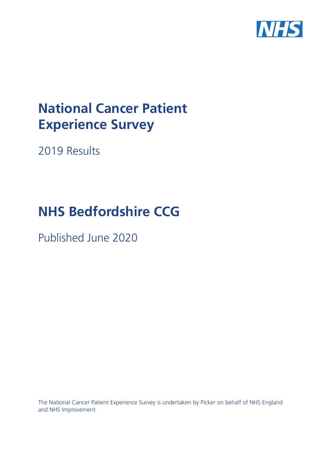

# **National Cancer Patient Experience Survey**

2019 Results

# **NHS Bedfordshire CCG**

Published June 2020

The National Cancer Patient Experience Survey is undertaken by Picker on behalf of NHS England and NHS Improvement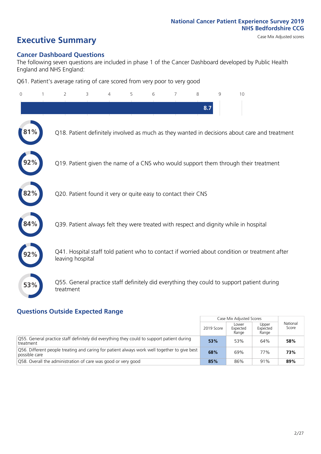# **Executive Summary** Case Mix Adjusted scores

### **Cancer Dashboard Questions**

The following seven questions are included in phase 1 of the Cancer Dashboard developed by Public Health England and NHS England:

Q61. Patient's average rating of care scored from very poor to very good

| $\Omega$ | $\overline{2}$                                                | 3 | 4 | 5 | 6 | 7 | 8   | 9 | 10                                                                                            |
|----------|---------------------------------------------------------------|---|---|---|---|---|-----|---|-----------------------------------------------------------------------------------------------|
|          |                                                               |   |   |   |   |   | 8.7 |   |                                                                                               |
|          |                                                               |   |   |   |   |   |     |   | Q18. Patient definitely involved as much as they wanted in decisions about care and treatment |
|          |                                                               |   |   |   |   |   |     |   | Q19. Patient given the name of a CNS who would support them through their treatment           |
| 82%      | Q20. Patient found it very or quite easy to contact their CNS |   |   |   |   |   |     |   |                                                                                               |
|          |                                                               |   |   |   |   |   |     |   | Q39. Patient always felt they were treated with respect and dignity while in hospital         |
|          | leaving hospital                                              |   |   |   |   |   |     |   | Q41. Hospital staff told patient who to contact if worried about condition or treatment after |
| 53%      | treatment                                                     |   |   |   |   |   |     |   | Q55. General practice staff definitely did everything they could to support patient during    |

### **Questions Outside Expected Range**

|                                                                                                               |            | Case Mix Adjusted Scores   |                            |                   |
|---------------------------------------------------------------------------------------------------------------|------------|----------------------------|----------------------------|-------------------|
|                                                                                                               | 2019 Score | Lower<br>Expected<br>Range | Upper<br>Expected<br>Range | National<br>Score |
| Q55. General practice staff definitely did everything they could to support patient during<br>treatment       | 53%        | 53%                        | 64%                        | 58%               |
| Q56. Different people treating and caring for patient always work well together to give best<br>possible care | 68%        | 69%                        | 77%                        | 73%               |
| Q58. Overall the administration of care was good or very good                                                 | 85%        | 86%                        | 91%                        | 89%               |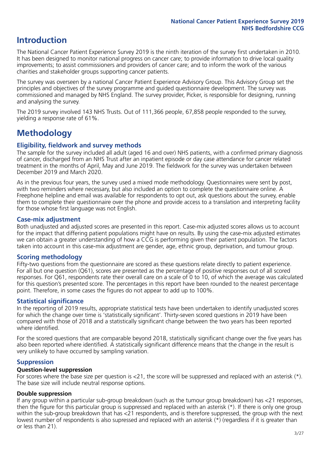## **Introduction**

The National Cancer Patient Experience Survey 2019 is the ninth iteration of the survey first undertaken in 2010. It has been designed to monitor national progress on cancer care; to provide information to drive local quality improvements; to assist commissioners and providers of cancer care; and to inform the work of the various charities and stakeholder groups supporting cancer patients.

The survey was overseen by a national Cancer Patient Experience Advisory Group. This Advisory Group set the principles and objectives of the survey programme and guided questionnaire development. The survey was commissioned and managed by NHS England. The survey provider, Picker, is responsible for designing, running and analysing the survey.

The 2019 survey involved 143 NHS Trusts. Out of 111,366 people, 67,858 people responded to the survey, yielding a response rate of 61%.

# **Methodology**

### **Eligibility, eldwork and survey methods**

The sample for the survey included all adult (aged 16 and over) NHS patients, with a confirmed primary diagnosis of cancer, discharged from an NHS Trust after an inpatient episode or day case attendance for cancer related treatment in the months of April, May and June 2019. The fieldwork for the survey was undertaken between December 2019 and March 2020.

As in the previous four years, the survey used a mixed mode methodology. Questionnaires were sent by post, with two reminders where necessary, but also included an option to complete the questionnaire online. A Freephone helpline and email was available for respondents to opt out, ask questions about the survey, enable them to complete their questionnaire over the phone and provide access to a translation and interpreting facility for those whose first language was not English.

### **Case-mix adjustment**

Both unadjusted and adjusted scores are presented in this report. Case-mix adjusted scores allows us to account for the impact that differing patient populations might have on results. By using the case-mix adjusted estimates we can obtain a greater understanding of how a CCG is performing given their patient population. The factors taken into account in this case-mix adjustment are gender, age, ethnic group, deprivation, and tumour group.

### **Scoring methodology**

Fifty-two questions from the questionnaire are scored as these questions relate directly to patient experience. For all but one question (Q61), scores are presented as the percentage of positive responses out of all scored responses. For Q61, respondents rate their overall care on a scale of 0 to 10, of which the average was calculated for this question's presented score. The percentages in this report have been rounded to the nearest percentage point. Therefore, in some cases the figures do not appear to add up to 100%.

### **Statistical significance**

In the reporting of 2019 results, appropriate statistical tests have been undertaken to identify unadjusted scores for which the change over time is 'statistically significant'. Thirty-seven scored questions in 2019 have been compared with those of 2018 and a statistically significant change between the two years has been reported where identified.

For the scored questions that are comparable beyond 2018, statistically significant change over the five years has also been reported where identified. A statistically significant difference means that the change in the result is very unlikely to have occurred by sampling variation.

### **Suppression**

### **Question-level suppression**

For scores where the base size per question is  $<$ 21, the score will be suppressed and replaced with an asterisk (\*). The base size will include neutral response options.

### **Double suppression**

If any group within a particular sub-group breakdown (such as the tumour group breakdown) has <21 responses, then the figure for this particular group is suppressed and replaced with an asterisk (\*). If there is only one group within the sub-group breakdown that has <21 respondents, and is therefore suppressed, the group with the next lowest number of respondents is also supressed and replaced with an asterisk (\*) (regardless if it is greater than or less than 21).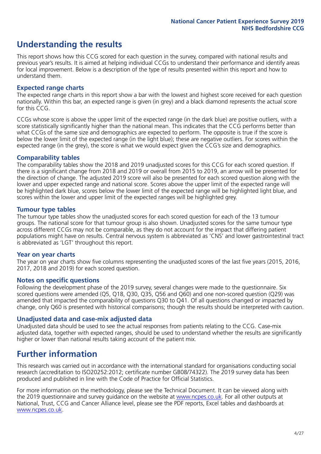# **Understanding the results**

This report shows how this CCG scored for each question in the survey, compared with national results and previous year's results. It is aimed at helping individual CCGs to understand their performance and identify areas for local improvement. Below is a description of the type of results presented within this report and how to understand them.

### **Expected range charts**

The expected range charts in this report show a bar with the lowest and highest score received for each question nationally. Within this bar, an expected range is given (in grey) and a black diamond represents the actual score for this CCG.

CCGs whose score is above the upper limit of the expected range (in the dark blue) are positive outliers, with a score statistically significantly higher than the national mean. This indicates that the CCG performs better than what CCGs of the same size and demographics are expected to perform. The opposite is true if the score is below the lower limit of the expected range (in the light blue); these are negative outliers. For scores within the expected range (in the grey), the score is what we would expect given the CCG's size and demographics.

### **Comparability tables**

The comparability tables show the 2018 and 2019 unadjusted scores for this CCG for each scored question. If there is a significant change from 2018 and 2019 or overall from 2015 to 2019, an arrow will be presented for the direction of change. The adjusted 2019 score will also be presented for each scored question along with the lower and upper expected range and national score. Scores above the upper limit of the expected range will be highlighted dark blue, scores below the lower limit of the expected range will be highlighted light blue, and scores within the lower and upper limit of the expected ranges will be highlighted grey.

### **Tumour type tables**

The tumour type tables show the unadjusted scores for each scored question for each of the 13 tumour groups. The national score for that tumour group is also shown. Unadjusted scores for the same tumour type across different CCGs may not be comparable, as they do not account for the impact that differing patient populations might have on results. Central nervous system is abbreviated as 'CNS' and lower gastrointestinal tract is abbreviated as 'LGT' throughout this report.

### **Year on year charts**

The year on year charts show five columns representing the unadjusted scores of the last five years (2015, 2016, 2017, 2018 and 2019) for each scored question.

### **Notes on specific questions**

Following the development phase of the 2019 survey, several changes were made to the questionnaire. Six scored questions were amended (Q5, Q18, Q30, Q35, Q56 and Q60) and one non-scored question (Q29) was amended that impacted the comparability of questions Q30 to Q41. Of all questions changed or impacted by change, only Q60 is presented with historical comparisons; though the results should be interpreted with caution.

### **Unadjusted data and case-mix adjusted data**

Unadjusted data should be used to see the actual responses from patients relating to the CCG. Case-mix adjusted data, together with expected ranges, should be used to understand whether the results are significantly higher or lower than national results taking account of the patient mix.

### **Further information**

This research was carried out in accordance with the international standard for organisations conducting social research (accreditation to ISO20252:2012; certificate number GB08/74322). The 2019 survey data has been produced and published in line with the Code of Practice for Official Statistics.

For more information on the methodology, please see the Technical Document. It can be viewed along with the 2019 questionnaire and survey quidance on the website at [www.ncpes.co.uk](https://www.ncpes.co.uk/supporting-documents). For all other outputs at National, Trust, CCG and Cancer Alliance level, please see the PDF reports, Excel tables and dashboards at [www.ncpes.co.uk.](https://www.ncpes.co.uk/current-results)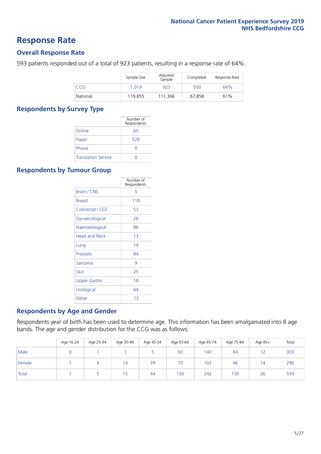### **Response Rate**

### **Overall Response Rate**

593 patients responded out of a total of 923 patients, resulting in a response rate of 64%.

|            | Sample Size | Adjusted<br>Sample | Completed | Response Rate |
|------------|-------------|--------------------|-----------|---------------|
| <b>CCG</b> | 1.019       | 923                | 593       | 64%           |
| National   | 119.855     | 111.366            | 67.858    | 61%           |

### **Respondents by Survey Type**

|                            | Number of<br>Respondents |
|----------------------------|--------------------------|
| Online                     | 65                       |
| Paper                      | 528                      |
| Phone                      | O                        |
| <b>Translation Service</b> |                          |

### **Respondents by Tumour Group**

|                      | Number of<br>Respondents |
|----------------------|--------------------------|
| <b>Brain / CNS</b>   | 5                        |
| <b>Breast</b>        | 118                      |
| Colorectal / LGT     | 53                       |
| Gynaecological       | 26                       |
| Haematological       | 86                       |
| <b>Head and Neck</b> | 1 <sub>3</sub>           |
| Lung                 | 19                       |
| Prostate             | 84                       |
| Sarcoma              | 9                        |
| Skin                 | 25                       |
| <b>Upper Gastro</b>  | 18                       |
| Urological           | 64                       |
| Other                | 73                       |

### **Respondents by Age and Gender**

Respondents year of birth has been used to determine age. This information has been amalgamated into 8 age bands. The age and gender distribution for the CCG was as follows:

|        | Age 16-24 | Age 25-34 | Age 35-44 | Age 45-54 | Age 55-64 | Age 65-74 | Age 75-84 | Age 85+   | Total |
|--------|-----------|-----------|-----------|-----------|-----------|-----------|-----------|-----------|-------|
| Male   |           |           |           |           | 60        | 140       | 84        | 12<br>1 Z | 303   |
| Female |           |           | 14        | 39        | 70        | 102       | 46        | 14        | 290   |
| Total  |           |           | ל ו       | 44        | 130       | 242       | 130       | 26        | 593   |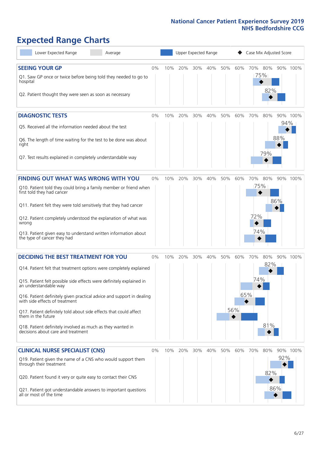# **Expected Range Charts**

| Lower Expected Range<br>Average                                                                                                                                                                                                                                                                                                                                                                                                                                                                                             |    |     | Upper Expected Range |     |         |     |                   | Case Mix Adjusted Score  |                   |            |          |
|-----------------------------------------------------------------------------------------------------------------------------------------------------------------------------------------------------------------------------------------------------------------------------------------------------------------------------------------------------------------------------------------------------------------------------------------------------------------------------------------------------------------------------|----|-----|----------------------|-----|---------|-----|-------------------|--------------------------|-------------------|------------|----------|
| <b>SEEING YOUR GP</b><br>Q1. Saw GP once or twice before being told they needed to go to<br>hospital<br>Q2. Patient thought they were seen as soon as necessary                                                                                                                                                                                                                                                                                                                                                             | 0% | 10% | 20%                  | 30% | 40%     | 50% | 60%               | 70%<br>75%               | 80%<br>82%        |            | 90% 100% |
| <b>DIAGNOSTIC TESTS</b><br>Q5. Received all the information needed about the test<br>Q6. The length of time waiting for the test to be done was about<br>right<br>Q7. Test results explained in completely understandable way                                                                                                                                                                                                                                                                                               | 0% | 10% | 20%                  |     | 30% 40% | 50% | 60%               | 70%                      | 80%<br>79%        | 94%<br>88% | 90% 100% |
| <b>FINDING OUT WHAT WAS WRONG WITH YOU</b><br>Q10. Patient told they could bring a family member or friend when<br>first told they had cancer<br>Q11. Patient felt they were told sensitively that they had cancer<br>Q12. Patient completely understood the explanation of what was<br>wrong<br>Q13. Patient given easy to understand written information about<br>the type of cancer they had                                                                                                                             | 0% | 10% | 20%                  | 30% | 40%     | 50% | 60%               | 70%<br>75%<br>72%<br>74% | 80%               | 86%        | 90% 100% |
| <b>DECIDING THE BEST TREATMENT FOR YOU</b><br>Q14. Patient felt that treatment options were completely explained<br>Q15. Patient felt possible side effects were definitely explained in<br>an understandable way<br>Q16. Patient definitely given practical advice and support in dealing<br>with side effects of treatment<br>Q17. Patient definitely told about side effects that could affect<br>them in the future<br>Q18. Patient definitely involved as much as they wanted in<br>decisions about care and treatment | 0% | 10% | 20%                  | 30% | 40%     | 50% | 60%<br>65%<br>56% | 70%<br>74%               | 80%<br>82%<br>81% |            | 90% 100% |
| <b>CLINICAL NURSE SPECIALIST (CNS)</b><br>Q19. Patient given the name of a CNS who would support them<br>through their treatment<br>Q20. Patient found it very or quite easy to contact their CNS<br>Q21. Patient got understandable answers to important questions<br>all or most of the time                                                                                                                                                                                                                              | 0% | 10% | 20%                  | 30% | 40%     | 50% | 60%               | 70%                      | 80%<br>82%<br>86% | 92%        | 90% 100% |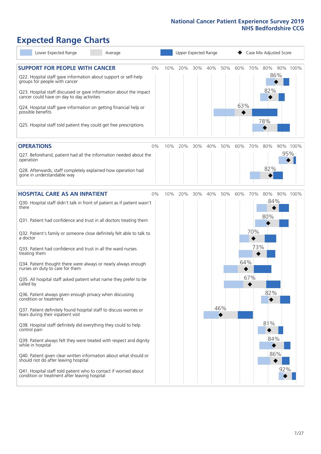# **Expected Range Charts**

| Lower Expected Range<br>Average                                                                                                                                                                                                                                                                                                                         |    |     |     | Upper Expected Range |     |     |            |     | Case Mix Adjusted Score |          |
|---------------------------------------------------------------------------------------------------------------------------------------------------------------------------------------------------------------------------------------------------------------------------------------------------------------------------------------------------------|----|-----|-----|----------------------|-----|-----|------------|-----|-------------------------|----------|
| <b>SUPPORT FOR PEOPLE WITH CANCER</b><br>Q22. Hospital staff gave information about support or self-help<br>groups for people with cancer<br>Q23. Hospital staff discussed or gave information about the impact<br>cancer could have on day to day activities<br>Q24. Hospital staff gave information on getting financial help or<br>possible benefits | 0% | 10% | 20% | 30%                  | 40% | 50% | 60%<br>63% | 70% | 80%<br>86%<br>82%       | 90% 100% |
| Q25. Hospital staff told patient they could get free prescriptions                                                                                                                                                                                                                                                                                      |    |     |     |                      |     |     |            |     | 78%                     |          |
| <b>OPERATIONS</b>                                                                                                                                                                                                                                                                                                                                       | 0% | 10% | 20% | 30%                  | 40% | 50% | 60%        | 70% | 80%                     | 90% 100% |
| Q27. Beforehand, patient had all the information needed about the<br>operation<br>Q28. Afterwards, staff completely explained how operation had                                                                                                                                                                                                         |    |     |     |                      |     |     |            |     | 82%                     | 95%      |
| gone in understandable way                                                                                                                                                                                                                                                                                                                              |    |     |     |                      |     |     |            |     |                         |          |
| <b>HOSPITAL CARE AS AN INPATIENT</b>                                                                                                                                                                                                                                                                                                                    | 0% | 10% | 20% | 30%                  | 40% | 50% | 60%        | 70% | 80%                     | 90% 100% |
| Q30. Hospital staff didn't talk in front of patient as if patient wasn't<br>there                                                                                                                                                                                                                                                                       |    |     |     |                      |     |     |            |     | 84%<br>80%              |          |
| Q31. Patient had confidence and trust in all doctors treating them                                                                                                                                                                                                                                                                                      |    |     |     |                      |     |     |            |     |                         |          |
| Q32. Patient's family or someone close definitely felt able to talk to<br>a doctor                                                                                                                                                                                                                                                                      |    |     |     |                      |     |     |            | 70% |                         |          |
| Q33. Patient had confidence and trust in all the ward nurses<br>treating them                                                                                                                                                                                                                                                                           |    |     |     |                      |     |     |            | 73% |                         |          |
| Q34. Patient thought there were always or nearly always enough<br>nurses on duty to care for them                                                                                                                                                                                                                                                       |    |     |     |                      |     |     | 64%        |     |                         |          |
| Q35. All hospital staff asked patient what name they prefer to be<br>called by                                                                                                                                                                                                                                                                          |    |     |     |                      |     |     |            | 67% |                         |          |
| Q36. Patient always given enough privacy when discussing<br>condition or treatment                                                                                                                                                                                                                                                                      |    |     |     |                      |     |     |            |     | 82%                     |          |
| Q37. Patient definitely found hospital staff to discuss worries or<br>fears during their inpatient visit                                                                                                                                                                                                                                                |    |     |     |                      |     | 46% |            |     |                         |          |
| Q38. Hospital staff definitely did everything they could to help<br>control pain                                                                                                                                                                                                                                                                        |    |     |     |                      |     |     |            |     | 81%                     |          |
| Q39. Patient always felt they were treated with respect and dignity<br>while in hospital                                                                                                                                                                                                                                                                |    |     |     |                      |     |     |            |     | 84%                     |          |
| Q40. Patient given clear written information about what should or<br>should not do after leaving hospital                                                                                                                                                                                                                                               |    |     |     |                      |     |     |            |     | 86%                     |          |
| Q41. Hospital staff told patient who to contact if worried about<br>condition or treatment after leaving hospital                                                                                                                                                                                                                                       |    |     |     |                      |     |     |            |     | 92%                     |          |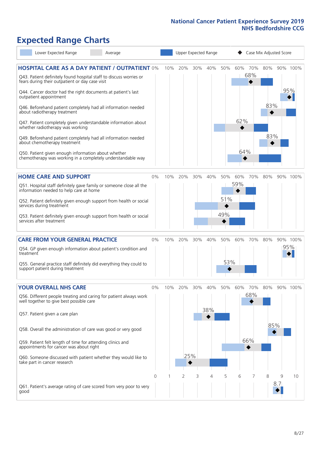# **Expected Range Charts**

| Lower Expected Range                                                                                                                                                                                                                                                                                                                                                                                                                                                                                                                                                                                                                                                                                   | Average |     |            | Upper Expected Range |            |                   |                   |                   | Case Mix Adjusted Score |          |                 |
|--------------------------------------------------------------------------------------------------------------------------------------------------------------------------------------------------------------------------------------------------------------------------------------------------------------------------------------------------------------------------------------------------------------------------------------------------------------------------------------------------------------------------------------------------------------------------------------------------------------------------------------------------------------------------------------------------------|---------|-----|------------|----------------------|------------|-------------------|-------------------|-------------------|-------------------------|----------|-----------------|
| <b>HOSPITAL CARE AS A DAY PATIENT / OUTPATIENT 0%</b><br>Q43. Patient definitely found hospital staff to discuss worries or<br>fears during their outpatient or day case visit<br>Q44. Cancer doctor had the right documents at patient's last<br>outpatient appointment<br>Q46. Beforehand patient completely had all information needed<br>about radiotherapy treatment<br>Q47. Patient completely given understandable information about<br>whether radiotherapy was working<br>Q49. Beforehand patient completely had all information needed<br>about chemotherapy treatment<br>Q50. Patient given enough information about whether<br>chemotherapy was working in a completely understandable way |         | 10% | 20%        | 30%                  | 40%        | 50%               | 60%<br>62%<br>64% | 70%<br>68%        | 80%<br>83%<br>83%       |          | 90% 100%<br>95% |
| <b>HOME CARE AND SUPPORT</b><br>Q51. Hospital staff definitely gave family or someone close all the<br>information needed to help care at home<br>Q52. Patient definitely given enough support from health or social<br>services during treatment<br>Q53. Patient definitely given enough support from health or social<br>services after treatment                                                                                                                                                                                                                                                                                                                                                    | 0%      | 10% | 20%        | 30%                  | 40%        | 50%<br>51%<br>49% | 60%<br>59%        | 70%               | 80%                     |          | 90% 100%        |
| <b>CARE FROM YOUR GENERAL PRACTICE</b><br>Q54. GP given enough information about patient's condition and<br>treatment<br>Q55. General practice staff definitely did everything they could to<br>support patient during treatment                                                                                                                                                                                                                                                                                                                                                                                                                                                                       | 0%      | 10% | 20%        | 30%                  | 40%        | 50%<br>53%        | 60%               | 70%               | 80%                     |          | 90% 100%<br>95% |
| <b>YOUR OVERALL NHS CARE</b><br>Q56. Different people treating and caring for patient always work<br>well together to give best possible care<br>Q57. Patient given a care plan<br>Q58. Overall the administration of care was good or very good<br>Q59. Patient felt length of time for attending clinics and<br>appointments for cancer was about right<br>Q60. Someone discussed with patient whether they would like to<br>take part in cancer research                                                                                                                                                                                                                                            | $0\%$   | 10% | 20%<br>25% | 30%                  | 40%<br>38% | 50%               | 60%               | 70%<br>68%<br>66% | 80%<br>85%              |          | 90% 100%        |
| Q61. Patient's average rating of care scored from very poor to very<br>good                                                                                                                                                                                                                                                                                                                                                                                                                                                                                                                                                                                                                            | 0       |     | 2          | 3                    | 4          | 5                 | 6                 |                   | 8                       | 9<br>8.7 | 10              |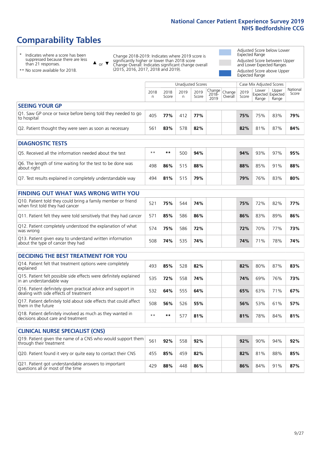# **Comparability Tables**

\* Indicates where a score has been suppressed because there are less than 21 responses.

\*\* No score available for 2018.

 $\triangle$  or  $\nabla$ 

Change 2018-2019: Indicates where 2019 score is significantly higher or lower than 2018 score Change Overall: Indicates significant change overall (2015, 2016, 2017, 2018 and 2019).

Adjusted Score below Lower Expected Range Adjusted Score between Upper and Lower Expected Ranges Adjusted Score above Upper Expected Range

|                                                                             |           | Unadjusted Scores<br>Case Mix Adjusted Scores |           |               |                                                       |         |               |                |                                            |                   |
|-----------------------------------------------------------------------------|-----------|-----------------------------------------------|-----------|---------------|-------------------------------------------------------|---------|---------------|----------------|--------------------------------------------|-------------------|
|                                                                             | 2018<br>n | 2018<br>Score                                 | 2019<br>n | 2019<br>Score | $\sqrt{(\text{Change})^2}$ Change<br>$2018 -$<br>2019 | Overall | 2019<br>Score | Lower<br>Range | Upper<br><b>Expected Expected</b><br>Range | National<br>Score |
| <b>SEEING YOUR GP</b>                                                       |           |                                               |           |               |                                                       |         |               |                |                                            |                   |
| Q1. Saw GP once or twice before being told they needed to go<br>to hospital | 405       | 77%                                           | 412       | 77%           |                                                       |         | 75%           | 75%            | 83%                                        | 79%               |
| Q2. Patient thought they were seen as soon as necessary                     | 561       | 83%                                           | 578       | 82%           |                                                       |         | 82%           | 81%            | 87%                                        | 84%               |
| <b>DIAGNOSTIC TESTS</b>                                                     |           |                                               |           |               |                                                       |         |               |                |                                            |                   |
|                                                                             |           |                                               |           |               |                                                       |         |               |                |                                            |                   |

| O5. Received all the information needed about the test                    | $**$ | **  | 50C | 94% | 94% | 93% | 97% | 95% |
|---------------------------------------------------------------------------|------|-----|-----|-----|-----|-----|-----|-----|
| Q6. The length of time waiting for the test to be done was<br>about right | 498  | 86% | 515 | 88% | 88% | 85% | 91% | 88% |
| Q7. Test results explained in completely understandable way               | 494  | 81% | 515 | 79% | 79% | 76% | 83% | 80% |

| <b>FINDING OUT WHAT WAS WRONG WITH YOU</b>                                                      |     |     |     |     |     |     |     |     |
|-------------------------------------------------------------------------------------------------|-----|-----|-----|-----|-----|-----|-----|-----|
| Q10. Patient told they could bring a family member or friend<br>when first told they had cancer | 521 | 75% | 544 | 74% | 75% | 72% | 82% | 77% |
| Q11. Patient felt they were told sensitively that they had cancer                               | 571 | 85% | 586 | 86% | 86% | 83% | 89% | 86% |
| Q12. Patient completely understood the explanation of what<br>was wrong                         | 574 | 75% | 586 | 72% | 72% | 70% | 77% | 73% |
| Q13. Patient given easy to understand written information<br>about the type of cancer they had  | 508 | 74% | 535 | 74% | 74% | 71% | 78% | 74% |

| <b>DECIDING THE BEST TREATMENT FOR YOU</b>                                                              |      |     |     |     |     |     |     |     |
|---------------------------------------------------------------------------------------------------------|------|-----|-----|-----|-----|-----|-----|-----|
| Q14. Patient felt that treatment options were completely<br>explained                                   | 493  | 85% | 528 | 82% | 82% | 80% | 87% | 83% |
| Q15. Patient felt possible side effects were definitely explained<br>in an understandable way           | 535  | 72% | 558 | 74% | 74% | 69% | 76% | 73% |
| Q16. Patient definitely given practical advice and support in<br>dealing with side effects of treatment | 532  | 64% | 555 | 64% | 65% | 63% | 71% | 67% |
| Q17. Patient definitely told about side effects that could affect<br>them in the future                 | 508  | 56% | 526 | 55% | 56% | 53% | 61% | 57% |
| Q18. Patient definitely involved as much as they wanted in<br>decisions about care and treatment        | $**$ | **  | 577 | 81% | 81% | 78% | 84% | 81% |

| <b>CLINICAL NURSE SPECIALIST (CNS)</b>                                                    |     |     |     |     |     |     |     |     |
|-------------------------------------------------------------------------------------------|-----|-----|-----|-----|-----|-----|-----|-----|
| Q19. Patient given the name of a CNS who would support them<br>through their treatment    | 561 | 92% | 558 | 92% | 92% | 90% | 94% | 92% |
| Q20. Patient found it very or quite easy to contact their CNS                             | 455 | 85% | 459 | 82% | 82% | 81% | 88% | 85% |
| Q21. Patient got understandable answers to important<br>questions all or most of the time | 429 | 88% | 448 | 86% | 86% | 84% | 91% | 87% |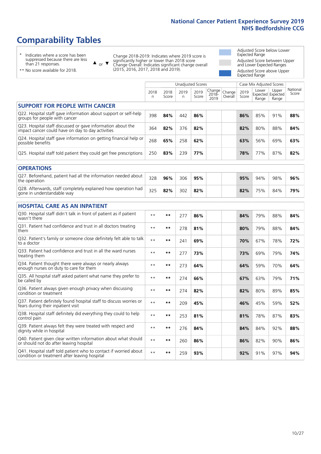# **Comparability Tables**

\* Indicates where a score has been suppressed because there are less than 21 responses.

\*\* No score available for 2018.

 $\triangle$  or  $\nabla$ 

Change 2018-2019: Indicates where 2019 score is significantly higher or lower than 2018 score Change Overall: Indicates significant change overall (2015, 2016, 2017, 2018 and 2019).

Adjusted Score below Lower Expected Range Adjusted Score between Upper and Lower Expected Ranges Adjusted Score above Upper Expected Range

|                                                                                                                   |              |               | Unadjusted Scores |               |                         |                   |               | Case Mix Adjusted Scores |                                     |                   |
|-------------------------------------------------------------------------------------------------------------------|--------------|---------------|-------------------|---------------|-------------------------|-------------------|---------------|--------------------------|-------------------------------------|-------------------|
|                                                                                                                   | 2018<br>n    | 2018<br>Score | 2019<br>n         | 2019<br>Score | Change<br>2018-<br>2019 | Change<br>Overall | 2019<br>Score | Lower<br>Range           | Upper<br>Expected Expected<br>Range | National<br>Score |
| <b>SUPPORT FOR PEOPLE WITH CANCER</b>                                                                             |              |               |                   |               |                         |                   |               |                          |                                     |                   |
| Q22. Hospital staff gave information about support or self-help<br>groups for people with cancer                  | 398          | 84%           | 442               | 86%           |                         |                   | 86%           | 85%                      | 91%                                 | 88%               |
| Q23. Hospital staff discussed or gave information about the<br>impact cancer could have on day to day activities  | 364          | 82%           | 376               | 82%           |                         |                   | 82%           | 80%                      | 88%                                 | 84%               |
| Q24. Hospital staff gave information on getting financial help or<br>possible benefits                            | 268          | 65%           | 258               | 62%           |                         |                   | 63%           | 56%                      | 69%                                 | 63%               |
| Q25. Hospital staff told patient they could get free prescriptions                                                | 250          | 83%           | 239               | 77%           |                         |                   | 78%           | 77%                      | 87%                                 | 82%               |
| <b>OPERATIONS</b>                                                                                                 |              |               |                   |               |                         |                   |               |                          |                                     |                   |
| Q27. Beforehand, patient had all the information needed about<br>the operation                                    | 328          | 96%           | 306               | 95%           |                         |                   | 95%           | 94%                      | 98%                                 | 96%               |
| Q28. Afterwards, staff completely explained how operation had<br>gone in understandable way                       | 325          | 82%           | 302               | 82%           |                         |                   | 82%           | 75%                      | 84%                                 | 79%               |
| <b>HOSPITAL CARE AS AN INPATIENT</b>                                                                              |              |               |                   |               |                         |                   |               |                          |                                     |                   |
| Q30. Hospital staff didn't talk in front of patient as if patient<br>wasn't there                                 | $\star\star$ | $***$         | 277               | 86%           |                         |                   | 84%           | 79%                      | 88%                                 | 84%               |
| Q31. Patient had confidence and trust in all doctors treating<br>them                                             | $\star\star$ | $***$         | 278               | 81%           |                         |                   | 80%           | 79%                      | 88%                                 | 84%               |
| Q32. Patient's family or someone close definitely felt able to talk<br>to a doctor                                | $\star\star$ | $***$         | 241               | 69%           |                         |                   | 70%           | 67%                      | 78%                                 | 72%               |
| Q33. Patient had confidence and trust in all the ward nurses<br>treating them                                     | $* *$        | **            | 277               | 73%           |                         |                   | 73%           | 69%                      | 79%                                 | 74%               |
| Q34. Patient thought there were always or nearly always<br>enough nurses on duty to care for them                 | $**$         | $***$         | 273               | 64%           |                         |                   | 64%           | 59%                      | 70%                                 | 64%               |
| Q35. All hospital staff asked patient what name they prefer to<br>be called by                                    | $**$         | $***$         | 274               | 66%           |                         |                   | 67%           | 63%                      | 79%                                 | 71%               |
| Q36. Patient always given enough privacy when discussing<br>condition or treatment                                | $\star\star$ | $***$         | 274               | 82%           |                         |                   | 82%           | 80%                      | 89%                                 | 85%               |
| Q37. Patient definitely found hospital staff to discuss worries or<br>fears during their inpatient visit          | $* *$        | **            | 209               | 45%           |                         |                   | 46%           | 45%                      | 59%                                 | 52%               |
| Q38. Hospital staff definitely did everything they could to help<br>control pain                                  | $* *$        | $***$         | 253               | 81%           |                         |                   | 81%           | 78%                      | 87%                                 | 83%               |
| Q39. Patient always felt they were treated with respect and<br>dignity while in hospital                          | $\star\star$ | $***$         | 276               | 84%           |                         |                   | 84%           | 84%                      | 92%                                 | 88%               |
| Q40. Patient given clear written information about what should<br>or should not do after leaving hospital         | $**$         | $***$         | 260               | 86%           |                         |                   | 86%           | 82%                      | 90%                                 | 86%               |
| Q41. Hospital staff told patient who to contact if worried about<br>condition or treatment after leaving hospital | $\star\star$ | $***$         | 259               | 93%           |                         |                   | 92%           | 91%                      | 97%                                 | 94%               |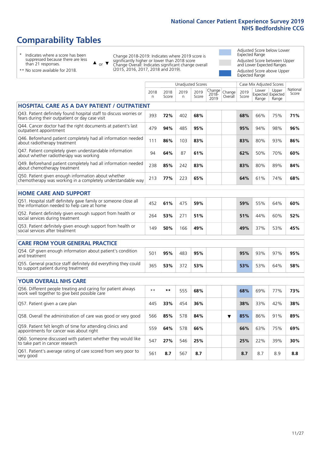Unadjusted Scores **Case Mix Adjusted Scores** 

# **Comparability Tables**

\* Indicates where a score has been suppressed because there are less than 21 responses.

 $\triangle$  or  $\nabla$ 

Change 2018-2019: Indicates where 2019 score is significantly higher or lower than 2018 score Change Overall: Indicates significant change overall (2015, 2016, 2017, 2018 and 2019).

Adjusted Score below Lower Expected Range Adjusted Score between Upper and Lower Expected Ranges Adjusted Score above Upper Expected Range

|  | ** No score available for 2018. |  |  |
|--|---------------------------------|--|--|
|  |                                 |  |  |

|                                                                                                                       | 2018<br>n | 2018<br>Score | 2019<br>n. | 2019<br>Score | Change<br>$2018 -$<br>2019 | Change<br>Overall | 2019<br>Score | Lower<br>Range | Upper<br>Expected Expected<br>Range | National<br>Score |
|-----------------------------------------------------------------------------------------------------------------------|-----------|---------------|------------|---------------|----------------------------|-------------------|---------------|----------------|-------------------------------------|-------------------|
| <b>HOSPITAL CARE AS A DAY PATIENT / OUTPATIENT</b>                                                                    |           |               |            |               |                            |                   |               |                |                                     |                   |
| Q43. Patient definitely found hospital staff to discuss worries or<br>fears during their outpatient or day case visit | 393       | 72%           | 402        | 68%           |                            |                   | 68%           | 66%            | 75%                                 | 71%               |
| Q44. Cancer doctor had the right documents at patient's last<br>outpatient appointment                                | 479       | 94%           | 485        | 95%           |                            |                   | 95%           | 94%            | 98%                                 | 96%               |
| Q46. Beforehand patient completely had all information needed<br>about radiotherapy treatment                         | 111       | 86%           | 103        | 83%           |                            |                   | 83%           | 80%            | 93%                                 | 86%               |
| Q47. Patient completely given understandable information<br>about whether radiotherapy was working                    | 94        | 64%           | 87         | 61%           |                            |                   | 62%           | 50%            | 70%                                 | 60%               |
| Q49. Beforehand patient completely had all information needed<br>about chemotherapy treatment                         | 238       | 85%           | 242        | 83%           |                            |                   | 83%           | 80%            | 89%                                 | 84%               |
| Q50. Patient given enough information about whether<br>chemotherapy was working in a completely understandable way    | 213       | 77%           | 223        | 65%           |                            |                   | 64%           | 61%            | 74%                                 | 68%               |
| <b>HOME CARE AND SUPPORT</b>                                                                                          |           |               |            |               |                            |                   |               |                |                                     |                   |
| Q51. Hospital staff definitely gave family or someone close all<br>the information needed to help care at home        | 452       | 61%           | 475        | 59%           |                            |                   | 59%           | 55%            | 64%                                 | 60%               |
| Q52. Patient definitely given enough support from health or<br>social services during treatment                       | 264       | 53%           | 271        | 51%           |                            |                   | 51%           | 44%            | 60%                                 | 52%               |
| Q53. Patient definitely given enough support from health or<br>social services after treatment                        | 149       | 50%           | 166        | 49%           |                            |                   | 49%           | 37%            | 53%                                 | 45%               |
| <b>CARE FROM YOUR GENERAL PRACTICE</b>                                                                                |           |               |            |               |                            |                   |               |                |                                     |                   |
| Q54. GP given enough information about patient's condition<br>and treatment                                           | 501       | 95%           | 483        | 95%           |                            |                   | 95%           | 93%            | 97%                                 | 95%               |
| Q55. General practice staff definitely did everything they could<br>to support patient during treatment               | 365       | 53%           | 372        | 53%           |                            |                   | 53%           | 53%            | 64%                                 | 58%               |
| <b>YOUR OVERALL NHS CARE</b>                                                                                          |           |               |            |               |                            |                   |               |                |                                     |                   |
| Q56. Different people treating and caring for patient always<br>work well together to give best possible care         | $* *$     | $***$         | 555        | 68%           |                            |                   | 68%           | 69%            | 77%                                 | 73%               |
| Q57. Patient given a care plan                                                                                        | 445       | 33%           | 454        | 36%           |                            |                   | 38%           | 33%            | 42%                                 | 38%               |
| Q58. Overall the administration of care was good or very good                                                         | 566       | 85%           | 578        | 84%           |                            | ▼                 | 85%           | 86%            | 91%                                 | 89%               |
| Q59. Patient felt length of time for attending clinics and<br>appointments for cancer was about right                 | 559       | 64%           | 578        | 66%           |                            |                   | 66%           | 63%            | 75%                                 | 69%               |
| Q60. Someone discussed with patient whether they would like<br>to take part in cancer research                        | 547       | 27%           | 546        | 25%           |                            |                   | 25%           | 22%            | 39%                                 | 30%               |
| Q61. Patient's average rating of care scored from very poor to<br>very good                                           | 561       | 8.7           | 567        | 8.7           |                            |                   | 8.7           | 8.7            | 8.9                                 | 8.8               |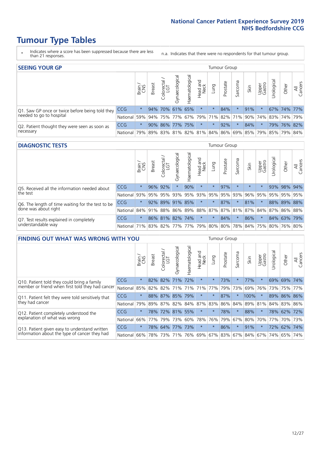- \* Indicates where a score has been suppressed because there are less than 21 responses.
- n.a. Indicates that there were no respondents for that tumour group.

| <b>SEEING YOUR GP</b>                           |            |         |               |                             |                    |                |                  |          | Tumour Group |         |                                                     |                 |           |             |                |
|-------------------------------------------------|------------|---------|---------------|-----------------------------|--------------------|----------------|------------------|----------|--------------|---------|-----------------------------------------------------|-----------------|-----------|-------------|----------------|
|                                                 |            | Brain   | <b>Breast</b> | Colorectal<br>LGT           | ᠊ᢛ<br>Gynaecologic | Haematological | Head and<br>Neck | Lung     | Prostate     | Sarcoma | Skin                                                | Upper<br>Gastro | Irologica | Other       | All<br>Cancers |
| Q1. Saw GP once or twice before being told they | <b>CCG</b> | $\star$ |               | 94% 70% 61% 65%             |                    |                | $\star$          | $^\star$ | 84%          |         | 91%                                                 | $\star$         |           | 67% 74% 77% |                |
| needed to go to hospital                        | National   | 59%     |               | 94% 75% 77% 67% 79% 71% 82% |                    |                |                  |          |              |         | 71% 90% 74% 83% 74% 79%                             |                 |           |             |                |
| Q2. Patient thought they were seen as soon as   | <b>CCG</b> | $\star$ |               | 90% 86% 77% 75%             |                    |                | $\star$          | $\star$  | 92%          |         | 84%                                                 | $\star$         |           | 79% 76% 82% |                |
| necessary                                       | National   | 79%     |               |                             |                    |                |                  |          |              |         | 89% 83% 81% 82% 81% 84% 86% 69% 85% 79% 85% 79% 84% |                 |           |             |                |

#### **DIAGNOSTIC TESTS** Tumour Group

|                                                   |                                                                  | Brain<br>CNS | <b>Breast</b> | Colorectal<br>LGT | Gynaecological | Haematological | Head and<br>Neck | Lung    | Prostate | Sarcoma             | Skin    | Upper<br>Gastro | rological | Other       | All<br>Cancers |
|---------------------------------------------------|------------------------------------------------------------------|--------------|---------------|-------------------|----------------|----------------|------------------|---------|----------|---------------------|---------|-----------------|-----------|-------------|----------------|
| Q5. Received all the information needed about     | <b>CCG</b>                                                       | $\star$      | 96% 92%       |                   |                | 90%            | $\star$          | $\star$ | 97%      |                     | $\star$ | $\star$         |           | 93% 98% 94% |                |
| the test                                          | National                                                         | 93%          | 95%           | 95%               | 93%            |                |                  |         |          | 95% 93% 95% 95% 93% | 96%     | 95%             |           |             | 95% 95% 95%    |
| Q6. The length of time waiting for the test to be | <b>CCG</b>                                                       | $\star$      |               | $92\%$ 89%        | 91%            | 85%            | $\star$          | $\star$ | 87%      | $\star$             | 81%     | $\star$         |           |             | 88% 89% 88%    |
| done was about right                              | National 84% 91% 88% 86% 89% 88% 87% 87% 81% 87% 84% 87% 86% 88% |              |               |                   |                |                |                  |         |          |                     |         |                 |           |             |                |
| Q7. Test results explained in completely          | <b>CCG</b>                                                       | $\star$      |               | 86% 81% 82% 74%   |                |                | $\star$          | $\star$ | 84%      | $\star$             | 86%     |                 |           |             | 84% 63% 79%    |
| understandable way                                | National 71% 83% 82% 77% 77% 79% 80% 80% 78% 84% 75% 80% 76% 80% |              |               |                   |                |                |                  |         |          |                     |         |                 |           |             |                |

| <b>FINDING OUT WHAT WAS WRONG WITH YOU</b>        |            |         |               |                             |                |                    |                        |         | <b>Tumour Group</b> |         |         |                 |            |         |                |
|---------------------------------------------------|------------|---------|---------------|-----------------------------|----------------|--------------------|------------------------|---------|---------------------|---------|---------|-----------------|------------|---------|----------------|
|                                                   |            | Brain   | <b>Breast</b> | olorectal.<br>LGT<br>$\cup$ | Gynaecological | aematological<br>Ĩ | ad and<br>Neck<br>Head | Lung    | Prostate            | Sarcoma | Skin    | Upper<br>Gastro | Irological | Other   | All<br>Cancers |
| Q10. Patient told they could bring a family       | CCG        | $\star$ | 82%           | 82%                         | 71%            | 72%                | $\star$                | $\star$ | 73%                 | $\star$ | 77%     | $\star$         | 69%        | 69%     | 74%            |
| member or friend when first told they had cancer  | National   | 85%     | 82%           | 82%                         | 71%            | 71%                | 71%                    | 77%     | 79%                 | 73%     | 69%     | 76%             | 73%        | 75%     | 77%            |
| Q11. Patient felt they were told sensitively that | CCG        | $\star$ |               |                             | 88% 87% 85%    | 79%                | $\star$                | $\star$ | 87%                 | $\ast$  | 100%    |                 | 89%        | 86% 86% |                |
| they had cancer                                   | National   | 79%     |               |                             | 89% 87% 82%    | 84% 87%            |                        | 83%     | 86%                 | 84%     |         | 89% 81%         |            | 84% 83% | 86%            |
| Q12. Patient completely understood the            | <b>CCG</b> | $\star$ | 78%           | 72%                         | 81%            | 55%                | $\star$                | $\star$ | 78%                 | $\star$ | 88%     |                 | 78%        | 62%     | 72%            |
| explanation of what was wrong                     | National   | 66%     | 77%           | 79%                         | 73%            | 60%                | 78%                    | 76%     | 79%                 | 67%     | 80%     | 70%             | 77%        |         | 70% 73%        |
| Q13. Patient given easy to understand written     | CCG        | $\star$ | 78%           | 64%                         | 77%            | 73%                | $\star$                | $\star$ | 86%                 | $\star$ | 91%     | $\star$         | 72%        | 62%     | 74%            |
| information about the type of cancer they had     | National   | 66%     | 78%           | 73%                         | 71%            | 76%                | 69%                    | 67% 83% |                     |         | 67% 84% | 67%             | 74%        | 65%     | 74%            |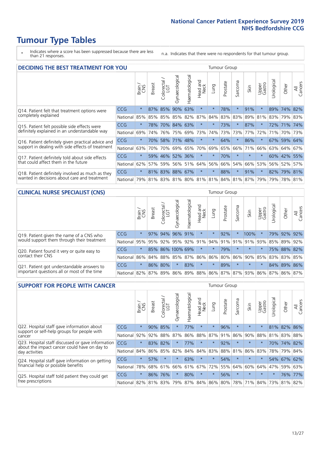\* Indicates where a score has been suppressed because there are less than 21 responses.

n.a. Indicates that there were no respondents for that tumour group.

| <b>DECIDING THE BEST TREATMENT FOR YOU</b>         |            |         |               |                            |                 |                |                        |         | <b>Tumour Group</b> |                                     |         |                 |            |             |                |
|----------------------------------------------------|------------|---------|---------------|----------------------------|-----------------|----------------|------------------------|---------|---------------------|-------------------------------------|---------|-----------------|------------|-------------|----------------|
|                                                    |            | Brain   | <b>Breast</b> | olorectal<br>LGT<br>$\cup$ | Gynaecological  | Haematological | ad and<br>Neck<br>Head | Lung    | Prostate            | Sarcoma                             | Skin    | Upper<br>Gastro | Jrological | Other       | All<br>Cancers |
| Q14. Patient felt that treatment options were      | CCG        | $\star$ | 87%           | 85%                        | 90%             | 63%            | $\star$                | $\star$ | 78%                 | $\star$                             | 91%     | $\star$         | 89%        | 74%         | 82%            |
| completely explained                               | National   | 85%     | 85%           | 85%                        |                 | 85% 82%        | 87%                    | 84%     | 83%                 | 83%                                 | 89%     | 81%             |            | 83% 79% 83% |                |
| Q15. Patient felt possible side effects were       | <b>CCG</b> | $\star$ | 78%           |                            | 70% 84% 63%     |                | $\star$                | $\star$ | 73%                 |                                     | 87%     | $\star$         |            | 72% 71% 74% |                |
| definitely explained in an understandable way      | National   | 69%     | 74%           | 76%                        |                 | 75% 69%        | 73%                    | 74%     | 73%                 | 73%                                 | 77%     | 72%             | 71%        | 70%         | 73%            |
| Q16. Patient definitely given practical advice and | CCG        | $\star$ | 70%           | 58%                        | 71% 48%         |                | $\star$                | $\star$ | 64%                 | $\star$                             | 86%     | $\star$         |            | 67% 59% 64% |                |
| support in dealing with side effects of treatment  | National   | 63%     | 70%           | 70%                        |                 | 69% 65%        | 70%                    | 69%     | 65%                 | 66%                                 | 71%     | 66%             |            | 63% 64%     | 67%            |
| Q17. Patient definitely told about side effects    | CCG        | $\star$ | 59%           |                            | 46% 52% 36%     |                | $\star$                | $\star$ | 70%                 | $^\star$                            | $\star$ | $\star$         |            | 60% 42% 55% |                |
| that could affect them in the future               | National   | 62%     | 57%           | 59%                        |                 | 56% 51%        | 64%                    | 56%     | 66%                 | 54%                                 | 66%     | 53%             |            | 56% 52%     | 57%            |
| Q18. Patient definitely involved as much as they   | <b>CCG</b> | $\star$ |               |                            | 81% 83% 88% 67% |                | $\star$                | $\star$ | 88%                 | $\ast$                              | 91%     | $\star$         |            | 82% 79% 81% |                |
| wanted in decisions about care and treatment       | National   | 79%     |               |                            |                 |                |                        |         |                     | 81% 83% 81% 80% 81% 81% 84% 81% 87% |         | 79%             |            | 79% 78% 81% |                |

#### **CLINICAL NURSE SPECIALIST (CNS)** Tumour Group

|                                             |                                                          | Brain   | <b>Breast</b> | Colorectal<br>LGT | त्त<br>Gynaecologic                         | ক<br>Haematologic | Head and<br>Neck | Lung        | Prostate | Sarcoma | Skin    | Upper<br>Gastro | Irological | Other       | All<br>Cancers |
|---------------------------------------------|----------------------------------------------------------|---------|---------------|-------------------|---------------------------------------------|-------------------|------------------|-------------|----------|---------|---------|-----------------|------------|-------------|----------------|
| Q19. Patient given the name of a CNS who    | <b>CCG</b>                                               | $\star$ |               | 97% 94%           | 96% 91%                                     |                   | $\star$          |             | 92%      |         | 100%    |                 |            | 79% 92% 92% |                |
| would support them through their treatment  | National                                                 | 95%     |               | 95% 92%           | 95%                                         | 92%               | 91%              | 94% 91% 91% |          |         | 91%     | 93%             | 85%        | 89%         | 92%            |
| Q20. Patient found it very or quite easy to | CCG                                                      | $\star$ |               |                   | 85% 86% 100% 69%                            |                   | $\star$          | $\star$     | 79%      |         | $\star$ |                 |            | 75% 88%     | 82%            |
| contact their CNS                           | National I                                               |         |               |                   | 86% 84% 88% 85% 87% 86% 86% 80% 86% 90% 85% |                   |                  |             |          |         |         |                 |            | 83% 83%     | 85%            |
| Q21. Patient got understandable answers to  | CCG                                                      | $\star$ |               | 86% 80%           |                                             | 83%               | $\star$          | $^\star$    | 89%      | $\star$ | $\star$ | $\star$         |            | 84% 89% 86% |                |
| important questions all or most of the time | National 82% 87% 89% 86% 89% 88% 86% 87% 87% 93% 86% 87% |         |               |                   |                                             |                   |                  |             |          |         |         |                 |            |             | 86% 87%        |

| <b>SUPPORT FOR PEOPLE WITH CANCER</b>                                                             |            |         |               |                        |                |                |                        |          | Tumour Group |          |         |                 |           |             |                |
|---------------------------------------------------------------------------------------------------|------------|---------|---------------|------------------------|----------------|----------------|------------------------|----------|--------------|----------|---------|-----------------|-----------|-------------|----------------|
|                                                                                                   |            | Brain   | <b>Breast</b> | olorectal.<br>LGT<br>Ũ | Gynaecological | Haematological | ad and<br>Neck<br>Head | Lung     | Prostate     | Sarcoma  | Skin    | Upper<br>Gastro | Jrologica | Other       | All<br>Cancers |
| Q22. Hospital staff gave information about<br>support or self-help groups for people with         | <b>CCG</b> | $\star$ | 90%           | 85%                    | $\star$        | 77%            | $\star$                | $^\star$ | 96%          | $\star$  | $\star$ | $\star$         | 81%       | 82% 86%     |                |
| cancer                                                                                            | National   | 92%     | 92%           | 88%                    | 87%            | 86%            | 88%                    | 87%      | 91%          | 86%      | 90%     | 88%             | 81%       | 83%         | 88%            |
| Q23. Hospital staff discussed or gave information<br>about the impact cancer could have on day to | CCG        | $\star$ | 83%           | 82%                    | $\star$        | 77%            | $\star$                | $\star$  | 92%          | $\star$  | $\star$ | $\star$         |           | 70% 74% 82% |                |
| day activities                                                                                    | National   | 84%     | 86%           | 85%                    | 82%            | 84%            | 84%                    | 83%      | 88%          | 81%      | 86%     | 83%             | 78%       | 79%         | 84%            |
| Q24. Hospital staff gave information on getting                                                   | CCG        | $\star$ | 57%           | $\star$                | $\star$        | 63%            | $\ast$                 | $^\star$ | 54%          | $^\star$ | $\star$ | $\star$         |           | 54% 67%     | 62%            |
| financial help or possible benefits                                                               | National   | 78%     |               | 68% 61%                | 66%            | 61%            | 67%                    | 72%      | 55%          | 64%      | 60%     | 64%             | 47%       | 59%         | 63%            |
| Q25. Hospital staff told patient they could get                                                   | <b>CCG</b> | $\star$ | 86%           | 76%                    | $\star$        | 80%            | $\ast$                 | $^\star$ | 56%          | $\star$  | $\star$ | $\star$         | $^\star$  | 76%         | 77%            |
| free prescriptions                                                                                | National   | 82%     |               | 81% 83%                | 79%            |                | 87% 84% 86% 80%        |          |              | 78%      | 71%     | 84%             | 73%       | 81%         | 82%            |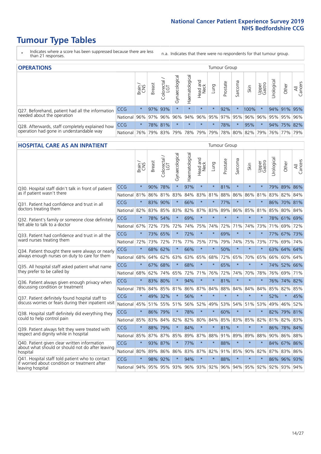- \* Indicates where a score has been suppressed because there are less than 21 responses.
- n.a. Indicates that there were no respondents for that tumour group.

| <b>OPERATIONS</b>                                |              |         |               |                   |                    |                |                     |             | Tumour Group |         |                                             |                 |            |             |                |
|--------------------------------------------------|--------------|---------|---------------|-------------------|--------------------|----------------|---------------------|-------------|--------------|---------|---------------------------------------------|-----------------|------------|-------------|----------------|
|                                                  |              | Brain   | <b>Breast</b> | Colorectal<br>LGT | ᠊ᢛ<br>Gynaecologic | Haematological | Head and<br>Neck    | <b>Dung</b> | Prostate     | Sarcoma | Skin                                        | Upper<br>Gastro | Jrological | Other       | All<br>Cancers |
| Q27. Beforehand, patient had all the information | CCG          | $\star$ |               | 97% 93%           | $\star$            | $\star$        | $\star$             | $\star$     | 92%          |         | 100%                                        | $\star$         |            | 94% 91%     | 95%            |
| needed about the operation                       | National     | $96\%$  |               | 97% 96%           | 96%                |                |                     |             |              |         | 94% 96% 95% 97% 95% 96% 96% 95% 95% 95% 96% |                 |            |             |                |
| Q28. Afterwards, staff completely explained how  | <b>CCG</b>   | $\star$ |               | 78% 81%           | $\star$            | $\star$        | $\star$             | $^\star$    | 78%          |         | 95%                                         | $\star$         |            | 94% 75% 82% |                |
| operation had gone in understandable way         | National 76% |         |               |                   |                    |                | 79% 83% 79% 78% 79% |             |              |         | 79% 78% 80% 82% 79%                         |                 |            | 76% 77%     | 79%            |

#### **HOSPITAL CARE AS AN INPATIENT** Tumour Group

|                                                                                                   |              | Brain   | Breast  | Colorectal /<br>LGT | Gynaecological | Haematological | Head and<br>Neck | Lung        | Prostate | Sarcoma | Skin            | Upper<br>Gastro | Urological | Other       | All<br>Cancers |
|---------------------------------------------------------------------------------------------------|--------------|---------|---------|---------------------|----------------|----------------|------------------|-------------|----------|---------|-----------------|-----------------|------------|-------------|----------------|
| Q30. Hospital staff didn't talk in front of patient                                               | CCG          | $\star$ | 90%     | 78%                 | $\star$        | 97%            | $\star$          | $\star$     | 81%      | $\star$ | $\star$         | $\star$         |            | 79% 89% 86% |                |
| as if patient wasn't there                                                                        | National     | 81%     | 86%     | 81%                 | 83%            | 84%            | 83%              | 81%         | 88%      | 86%     | 86%             | 81%             | 83%        | 82%         | 84%            |
| 031. Patient had confidence and trust in all<br>doctors treating them                             | CCG          | $\star$ | 83%     | 90%                 | $\star$        | 66%            | $\star$          | $\star$     | 77%      | $\star$ | $\star$         |                 |            | 86% 70% 81% |                |
|                                                                                                   | National     | 82%     |         | 83% 85%             | 83%            | 82%            |                  | 87% 83%     | 89%      | 86%     | 85%             | 81%             | 85%        | 80% 84%     |                |
| Q32. Patient's family or someone close definitely<br>felt able to talk to a doctor                | CCG          | $\star$ | 78%     | 54%                 |                | 69%            | $\star$          | $\star$     | $\star$  | $\star$ | $\star$         | $\star$         |            | 78% 61% 69% |                |
|                                                                                                   | National     | 67%     | 72%     | 73%                 | 72%            | 74%            | 75%              | 74%         | 72%      | 71%     | 74%             | 73%             | 71%        | 69%         | 72%            |
| Q33. Patient had confidence and trust in all the<br>ward nurses treating them                     | CCG          | $\star$ |         | 73% 65%             | $\star$        | 72%            | $\star$          | $\star$     | 69%      | $\star$ | $\star$         |                 |            | 77% 67% 73% |                |
|                                                                                                   | National     | 72%     | 73%     | 72%                 | 71%            | 77%            | 75%              | 77%         | 79%      | 74%     | 75%             | 73%             | 77%        | 69%         | 74%            |
| Q34. Patient thought there were always or nearly<br>always enough nurses on duty to care for them | CCG          | $\star$ | 68%     | 62%                 | $\star$        | 66%            | $\star$          | $\star$     | 50%      | $\star$ | $\star$         | $\star$         |            | 63% 64%     | 64%            |
|                                                                                                   | National     | 68%     | 64%     | 62%                 | 63%            | 63%            | 65%              | 68%         | 72%      | 65%     | 70%             | 65%             | 66%        | 60%         | 64%            |
| Q35. All hospital staff asked patient what name                                                   | CCG          | $\star$ | 67%     | 68%                 | $\star$        | 68%            | $\star$          | $\star$     | 65%      | $\star$ | $\star$         |                 |            | 74% 52%     | 66%            |
| they prefer to be called by                                                                       | National     | 68%     | 62%     | 74%                 | 65%            | 72%            | 71%              | 76%         | 72%      | 74%     | 70%             | 78%             | 76%        | 69%         | 71%            |
| Q36. Patient always given enough privacy when                                                     | CCG          | $\star$ | 83%     | 80%                 | $\star$        | 94%            | $\star$          | $\star$     | 81%      | $\star$ | $\star$         |                 |            | 76% 74% 82% |                |
| discussing condition or treatment                                                                 | National     | 78%     |         | 84% 85%             | 81%            |                |                  | 86% 87% 84% | 88%      | 84%     | 84%             | 84%             | 85%        | 82%         | 85%            |
| Q37. Patient definitely found hospital staff to                                                   | CCG          | $\star$ | 49%     | 32%                 | $\star$        | 56%            | $\star$          | $\star$     | $\star$  | $\star$ | $\star$         | $\star$         | 52%        | $\star$     | 45%            |
| discuss worries or fears during their inpatient visit                                             | National     | 45%     |         | 51% 55%             | 51%            | 56%            | 52%              | 49%         | 53%      | 54%     | 51%             | 53%             | 49%        | 46%         | 52%            |
| Q38. Hospital staff definitely did everything they                                                | CCG          | $\star$ | 86% 79% |                     | $\star$        | 78%            | $\star$          | $\star$     | 60%      | $\star$ | $\star$         | $\star$         | 82%        | 79%         | 81%            |
| could to help control pain                                                                        | National     | 85%     | 83%     | 84%                 | 82%            | 82%            | 80%              | 84%         | 85%      | 83%     | 85%             | 82%             | 81%        | 82%         | 83%            |
| Q39. Patient always felt they were treated with                                                   | CCG          | $\star$ |         | 88% 79%             | $\star$        | 84%            | $\star$          | $\star$     | 81%      | $\star$ | $\star$         |                 |            | 86% 78%     | 84%            |
| respect and dignity while in hospital                                                             | National     | 85%     |         | 87% 87%             | 85%            |                |                  | 89% 87% 88% | 91%      | 89%     | 89%             | 88%             |            | 90% 86% 88% |                |
| Q40. Patient given clear written information<br>about what should or should not do after leaving  | CCG          | $\star$ | 93% 87% |                     | $\star$        | 77%            | $\star$          | $\star$     | 88%      | $\star$ | $\star$         | $\star$         |            | 84% 67%     | 86%            |
| hospital                                                                                          | National     | 80%     | 89%     | 86%                 | 86%            | 83%            |                  | 87% 82%     | 91%      | 85%     | 90%             | 82%             | 87%        | 83%         | 86%            |
| Q41. Hospital staff told patient who to contact<br>if worried about condition or treatment after  | CCG          | $\star$ | 98%     | 92%                 | $\star$        | 94%            | $\star$          | $\star$     | 88%      | $\star$ | $\star$         | $\star$         |            | 86% 96%     | 93%            |
| leaving hospital                                                                                  | National 94% |         |         | 95% 95% 93%         |                |                |                  | 96% 93% 92% |          |         | 96% 94% 95% 92% |                 |            | 92% 93% 94% |                |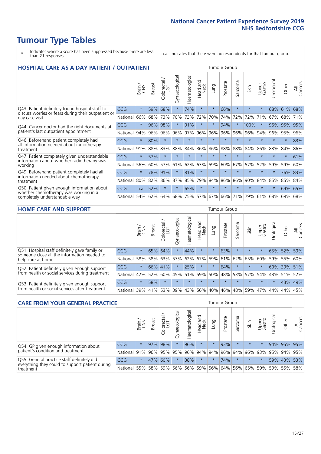# **Tumour Type Tables**

- \* Indicates where a score has been suppressed because there are less than 21 responses.
- n.a. Indicates that there were no respondents for that tumour group.

| <b>HOSPITAL CARE AS A DAY PATIENT / OUTPATIENT</b>                                                                    |            |         |               |                       |                |                |                                 |         | <b>Tumour Group</b> |         |         |                 |            |         |                |  |  |
|-----------------------------------------------------------------------------------------------------------------------|------------|---------|---------------|-----------------------|----------------|----------------|---------------------------------|---------|---------------------|---------|---------|-----------------|------------|---------|----------------|--|--|
|                                                                                                                       |            | Brain   | <b>Breast</b> | olorectal<br>LGT<br>Ũ | Gynaecological | Haematological | <b>Bad and<br/>Neck</b><br>Head | Lung    | Prostate            | Sarcoma | Skin    | Upper<br>Gastro | Urological | Other   | All<br>Cancers |  |  |
| Q43. Patient definitely found hospital staff to                                                                       | CCG        | $\star$ | 59%           | 68%                   | $\star$        | 74%            | $\star$                         | $\star$ | 66%                 | $\star$ | $\star$ | $\star$         | 68%        | 61%     | 68%            |  |  |
| discuss worries or fears during their outpatient or<br>day case visit                                                 | National   | 66%     | 68%           | 73%                   | 70%            | 73%            | 72%                             | 70%     | 74%                 | 72%     | 72%     | 71%             | 67%        | 68%     | 71%            |  |  |
| Q44. Cancer doctor had the right documents at<br>patient's last outpatient appointment                                | <b>CCG</b> | $\star$ | 96%           | 98%                   | $\star$        | 91%            | $\star$                         | $\star$ | 94%                 | $\star$ | 100%    |                 | 96%        | 95%     | 95%            |  |  |
|                                                                                                                       | National   | 94%     | 96%           | 96%                   | 96%            | 97%            | 96%                             | 96%     | 96%                 | 96%     | 96%     | 94%             | 96%        | 95%     | 96%            |  |  |
| Q46. Beforehand patient completely had                                                                                | CCG        | $\star$ | 80%           | $\star$               |                |                | $\star$                         | $\star$ | $\star$             | $\star$ |         | $\star$         | $\star$    | $\ast$  | 83%            |  |  |
| all information needed about radiotherapy<br>treatment                                                                | National   | 91%     | 88%           | 83%                   | 88%            | 84%            | 86%                             | 86%     | 88%                 | 88%     | 84%     | 86%             | 83%        | 84%     | 86%            |  |  |
| Q47. Patient completely given understandable                                                                          | CCG        | $\star$ | 57%           | $\star$               | $\star$        |                | $\star$                         | $\star$ | $\star$             | $\star$ |         | $\star$         | $\star$    | $\star$ | 61%            |  |  |
| information about whether radiotherapy was<br>working                                                                 | National   | 56%     | 60%           | 57%                   | 61%            | 62%            | 63%                             | 59%     | 60%                 | 67%     | 57%     | 52%             | 59%        | 59%     | 60%            |  |  |
| Q49. Beforehand patient completely had all                                                                            | CCG        | $\star$ | 78%           | 91%                   | $\star$        | 81%            | $\star$                         | $\star$ | $\star$             | $\star$ | $\star$ | $\star$         | $\star$    |         | 76% 83%        |  |  |
| information needed about chemotherapy<br>treatment                                                                    | National   | 80%     | 82%           | 86%                   | 87%            | 85%            | 79%                             | 84%     | 86%                 | 86%     | 90%     | 84%             | 85%        | 85%     | 84%            |  |  |
| Q50. Patient given enough information about<br>whether chemotherapy was working in a<br>completely understandable way | <b>CCG</b> | n.a.    | 52%           | $\star$               | $\star$        | 65%            | $\star$                         | $\star$ | $\star$             | $\star$ | $\star$ | $\star$         | $\star$    | 69%     | 65%            |  |  |
|                                                                                                                       | National   | 54%     | 62%           | 64%                   | 68%            | 75%            | 57%                             | 67%     | 66%                 | 71%     | 79%     | 61%             | 68%        | 69%     | 68%            |  |  |

#### **HOME CARE AND SUPPORT** Tumour Group

|                                                                                                                   |            | Brain   | <b>Breast</b> | olorectal.<br>LGT<br>Ũ | σ<br>Ü<br>Gynaecologi | Haematological | ad and<br>Neck<br>Head | <b>Lung</b> | Prostate | Sarcoma | Skin    | Upper<br>Gastro | rological | Other       | All<br>Cancers |
|-------------------------------------------------------------------------------------------------------------------|------------|---------|---------------|------------------------|-----------------------|----------------|------------------------|-------------|----------|---------|---------|-----------------|-----------|-------------|----------------|
| Q51. Hospital staff definitely gave family or<br>someone close all the information needed to<br>help care at home | <b>CCG</b> | $\star$ |               | 65% 64%                | $\star$               | 44%            | $\ast$                 | $\star$     | 63%      | $\star$ | $\star$ | $\star$         |           | 65% 52%     | 59%            |
|                                                                                                                   | National   | 58%     |               | 58% 63%                | 57%                   | 62%            | 67%                    | 59%         | 61%      |         | 62% 65% | 60%             |           | 59% 55%     | 60%            |
| Q52. Patient definitely given enough support<br>from health or social services during treatment                   | <b>CCG</b> | $\star$ |               | 66% 41%                | $\star$               | 25%            | $\star$                | $\star$     | 64%      | $\star$ | $\star$ | $\star$         |           | 60% 39% 51% |                |
|                                                                                                                   | National   | 42%     | 52%           | 60%                    |                       | 45% 51%        | 59%                    | 50%         | 48%      |         | 53% 57% | 54%             |           | 48% 51%     | 52%            |
| Q53. Patient definitely given enough support<br>from health or social services after treatment                    | CCG        | $\star$ | 58%           |                        | $\star$               |                | $\star$                | $\star$     | $\star$  | $\star$ | $\star$ | $\star$         | $\star$   | 43%         | 49%            |
|                                                                                                                   | National   | 39%     |               | 41% 53%                | 39%                   | 43%            | 56%                    | 40%         | 46%      | 48%     | 59%     | 47%             | 44%       | 44%         | 45%            |

| <b>CARE FROM YOUR GENERAL PRACTICE</b>                                                                     |              |         |               |                        |                |                | <b>Tumour Group</b>         |         |          |         |         |                 |                      |             |                |
|------------------------------------------------------------------------------------------------------------|--------------|---------|---------------|------------------------|----------------|----------------|-----------------------------|---------|----------|---------|---------|-----------------|----------------------|-------------|----------------|
|                                                                                                            |              | Brain,  | <b>Breast</b> | ー<br>Colorectal<br>LGT | Gynaecological | Haematological | Head and<br>Neck            | Lung    | Prostate | Sarcoma | Skin    | Upper<br>Gastro | $\sigma$<br>Urologic | Other       | All<br>Cancers |
| Q54. GP given enough information about<br>patient's condition and treatment                                | CCG          | $\star$ |               | 97% 98%                |                | 96%            | $\star$                     | $\star$ | 93%      | $\star$ | $\star$ | $\star$         |                      | 94% 95% 95% |                |
|                                                                                                            | National 91% |         |               |                        | 96% 95% 95%    |                | 96% 94% 94% 96% 94% 96% 93% |         |          |         |         |                 | 95% 94% 95%          |             |                |
| Q55. General practice staff definitely did<br>everything they could to support patient during<br>treatment | <b>CCG</b>   | $\star$ |               | 47% 60%                |                | 38%            | $\star$                     | $\star$ | 74%      | $\star$ | $\star$ |                 |                      | 59% 43% 53% |                |
|                                                                                                            | National 55% |         |               |                        | 58% 59% 56%    |                | 56% 59% 56% 64% 56% 65% 59% |         |          |         |         |                 |                      | 59% 55% 58% |                |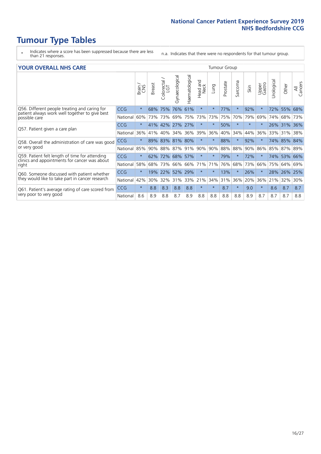- \* Indicates where a score has been suppressed because there are less than 21 responses.
- n.a. Indicates that there were no respondents for that tumour group.

#### **YOUR OVERALL NHS CARE** THE CONSTRUCTION OF THE THROUP GROUP TUMOUR GROUP

| I YON OVERALL NI IS CARL                                                                                         | anour oroup |         |               |                             |                |                |                  |          |          |              |        |                 |                |             |                |
|------------------------------------------------------------------------------------------------------------------|-------------|---------|---------------|-----------------------------|----------------|----------------|------------------|----------|----------|--------------|--------|-----------------|----------------|-------------|----------------|
|                                                                                                                  |             | Brain   | <b>Breast</b> | ╮<br>olorectal.<br>LGT<br>Û | Gynaecological | Haematological | Head and<br>Neck | Lung     | Prostate | arcoma<br>ιñ | Skin   | Upper<br>Gastro | लु<br>Urologia | Other       | All<br>Cancers |
| Q56. Different people treating and caring for<br>patient always work well together to give best<br>possible care | <b>CCG</b>  | $\star$ | 68%           | 75%                         | 76%            | 61%            | $\star$          | $^\star$ | 77%      | $\star$      | 92%    |                 | 72%            | 55%         | 68%            |
|                                                                                                                  | National    | 60%     |               | 73% 73%                     | 69%            | 75%            | 73%              | 73%      | 75%      | 70%          | 79%    | 69%             | 74%            | 68%         | 73%            |
| Q57. Patient given a care plan                                                                                   | <b>CCG</b>  | $\star$ |               | 41% 42%                     | 27% 27%        |                | $\star$          | $^\star$ | 50%      | $\star$      | $\ast$ | $\star$         | 26%            | 31% 36%     |                |
|                                                                                                                  | National    | 36%     | 41%           | 40%                         | 34%            | 36%            | 39%              | 36%      | 40%      | 34%          | 44%    | 36%             | 33%            | 31%         | 38%            |
| Q58. Overall the administration of care was good                                                                 | <b>CCG</b>  | $\star$ | 89%           | 83%                         | 81% 80%        |                | $\star$          | $^\star$ | 88%      | $\star$      | 92%    |                 | 74%            | 85%         | 84%            |
| or very good                                                                                                     | National    | 85%     |               | 90% 88%                     | 87% 91%        |                | 90%              | 90%      | 88%      | 88%          | 90%    | 86%             | 85%            | 87% 89%     |                |
| Q59. Patient felt length of time for attending<br>clinics and appointments for cancer was about                  | <b>CCG</b>  | $\star$ | $62\%$        | 72%                         | 68% 57%        |                | $\star$          | $\star$  | 79%      | $\star$      | 72%    |                 |                | 74% 53% 66% |                |
| right                                                                                                            | National    | 58%     | 68%           | 73%                         | 66%            | 66%            | 71%              | 71%      | 76%      | 68%          | 73%    | 66%             | 75%            | 64%         | 69%            |
| Q60. Someone discussed with patient whether                                                                      | <b>CCG</b>  | $\star$ | 19%           | 22%                         | 52%            | 29%            | $\star$          | $\star$  | 13%      | $\star$      | 26%    |                 | 28%            | 26%         | 25%            |
| they would like to take part in cancer research                                                                  | National    | 42%     | 30%           | 32%                         | 31%            | 33%            | 21%              | 34%      | 31%      | 36%          | 20%    | 36%             | 21%            | 32%         | 30%            |
| Q61. Patient's average rating of care scored from<br>very poor to very good                                      | <b>CCG</b>  | $\star$ | 8.8           | 8.3                         | 8.8            | 8.8            | $\star$          | $\star$  | 8.7      | $\star$      | 9.0    | $\star$         | 8.6            | 8.7         | 8.7            |
|                                                                                                                  | National    | 8.6     | 8.9           | 8.8                         | 8.7            | 8.9            | 8.8              | 8.8      | 8.8      | 8.8          | 8.9    | 8.7             | 8.7            | 8.7         | 8.8            |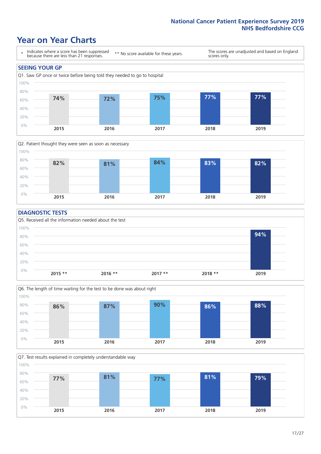### **Year on Year Charts**





#### **DIAGNOSTIC TESTS**





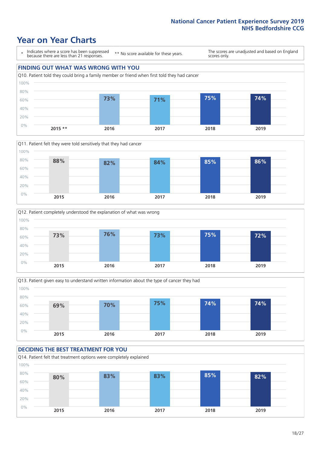### **Year on Year Charts**

\* Indicates where a score has been suppressed because there are less than 21 responses.

\*\* No score available for these years.

The scores are unadjusted and based on England scores only.









#### **DECIDING THE BEST TREATMENT FOR YOU** Q14. Patient felt that treatment options were completely explained 0% 20% 40% 60% 80% 100% **2015 2016 2017 2018 2019 80% 83% 83% 85% 82%**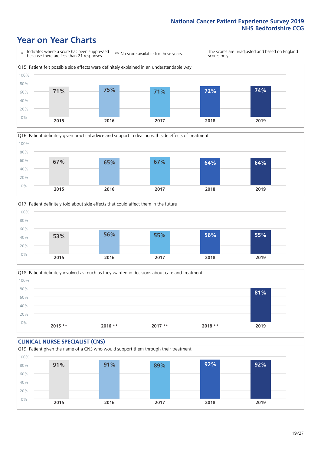### **Year on Year Charts**







Q18. Patient definitely involved as much as they wanted in decisions about care and treatment  $0%$ 20% 40% 60% 80% 100% **2015 \*\* 2016 \*\* 2017 \*\* 2018 \*\* 2019 81%**

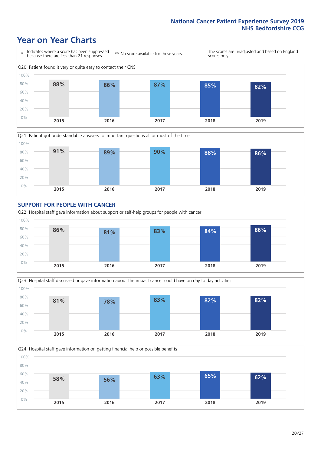### **Year on Year Charts**











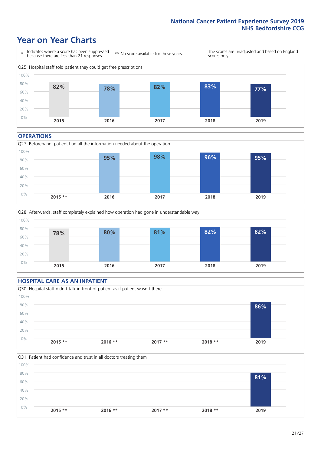### **Year on Year Charts**



#### **OPERATIONS**





### **HOSPITAL CARE AS AN INPATIENT** Q30. Hospital staff didn't talk in front of patient as if patient wasn't there 0% 20% 40% 60% 80% 100% **2015 \*\* 2016 \*\* 2017 \*\* 2018 \*\* 2019 86%**

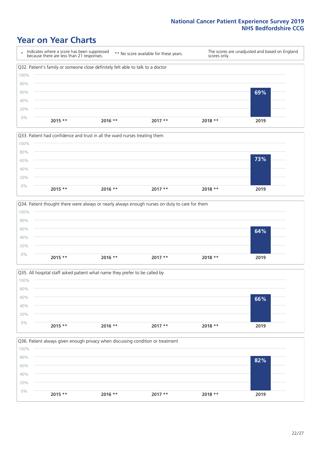### **Year on Year Charts**









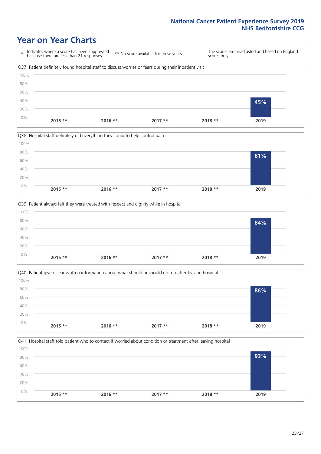### **Year on Year Charts**

\* Indicates where a score has been suppressed because there are less than 21 responses. \*\* No score available for these years. The scores are unadjusted and based on England scores only. Q37. Patient definitely found hospital staff to discuss worries or fears during their inpatient visit 0% 20% 40% 60% 80% 100% **2015 \*\* 2016 \*\* 2017 \*\* 2018 \*\* 2019 45%**







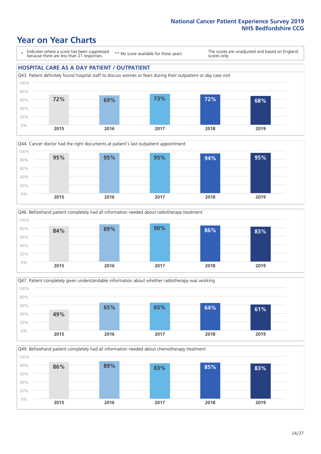### **Year on Year Charts**

\* Indicates where a score has been suppressed because there are less than 21 responses.

\*\* No score available for these years.

The scores are unadjusted and based on England scores only.

#### **HOSPITAL CARE AS A DAY PATIENT / OUTPATIENT**









Q49. Beforehand patient completely had all information needed about chemotherapy treatment 0% 20% 40% 60% 80% 100% **2015 2016 2017 2018 2019 86% 89% 83% 85% 83%**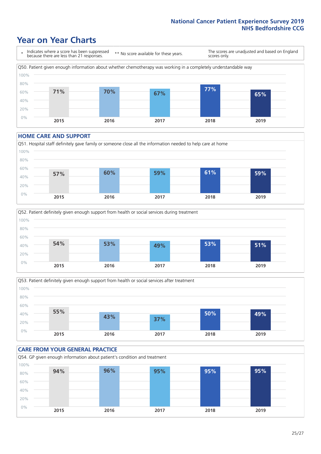### **Year on Year Charts**

\* Indicates where a score has been suppressed because there are less than 21 responses. \*\* No score available for these years. The scores are unadjusted and based on England scores only. Q50. Patient given enough information about whether chemotherapy was working in a completely understandable way 0% 20% 40% 60% 80% 100% **2015 2016 2017 2018 2019 71% 70% 67% 77% 65%**

#### **HOME CARE AND SUPPORT**







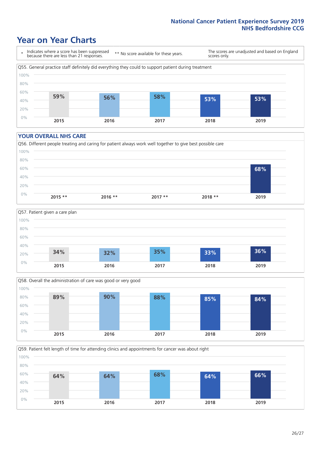### **Year on Year Charts**

\* Indicates where a score has been suppressed because there are less than 21 responses.

\*\* No score available for these years.

The scores are unadjusted and based on England scores only.



#### **YOUR OVERALL NHS CARE**







Q59. Patient felt length of time for attending clinics and appointments for cancer was about right